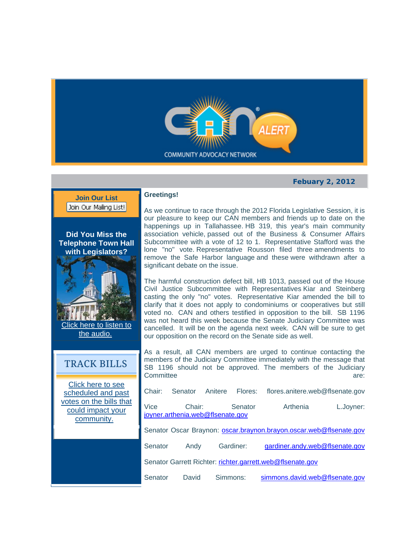

## **Febuary 2, 2012**



## **Greetings!**

As we continue to race through the 2012 Florida Legislative Session, it is our pleasure to keep our CAN members and friends up to date on the happenings up in Tallahassee. HB 319, this year's main community association vehicle, passed out of the Business & Consumer Affairs Subcommittee with a vote of 12 to 1. Representative Stafford was the lone "no" vote. Representative Rousson filed three amendments to remove the Safe Harbor language and these were withdrawn after a significant debate on the issue.

The harmful construction defect bill, HB 1013, passed out of the House Civil Justice Subcommittee with Representatives Kiar and Steinberg casting the only "no" votes. Representative Kiar amended the bill to clarify that it does not apply to condominiums or cooperatives but still voted no. CAN and others testified in opposition to the bill. SB 1196 was not heard this week because the Senate Judiciary Committee was cancelled. It will be on the agenda next week. CAN will be sure to get our opposition on the record on the Senate side as well.

As a result, all CAN members are urged to continue contacting the members of the Judiciary Committee immediately with the message that SB 1196 should not be approved. The members of the Judiciary Committee are: the control of the control of the control of the control of the control of the control of the control of the control of the control of the control of the control of the control of the control of the control

Chair: Senator Anitere Flores: flores.anitere.web@flsenate.gov Vice Chair: Senator Arthenia L.Joyner: iovner.arthenia.web@flsenate.gov Senator Oscar Braynon: oscar.braynon.brayon.oscar.web@flsenate.gov Senator Andy Gardiner: gardiner.andy.web@flsenate.gov Senator Garrett Richter: richter.garrett.web@flsenate.gov

Senator David Simmons: simmons.david.web@flsenate.gov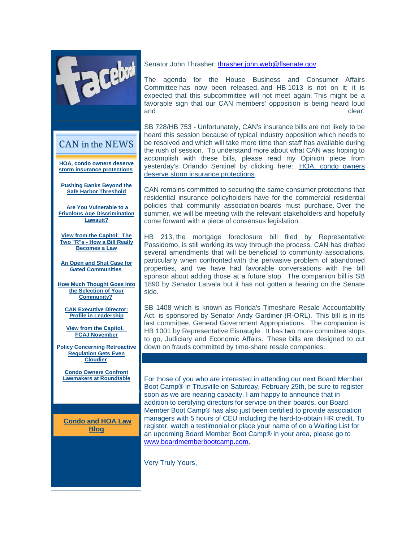

CAN in the NEWS

**HOA, condo owners deserve storm insurance protections**

**Pushing Banks Beyond the Safe Harbor Threshold**

 **Are You Vulnerable to a Frivolous Age Discrimination Lawsuit?**

**View from the Capitol: The Two "R"s - How a Bill Really Becomes a Law**

**An Open and Shut Case for Gated Communities**

**How Much Thought Goes into the Selection of Your Community?**

**CAN Executive Director: Profile in Leadership**

**View from the Capitol, FCAJ November**

**Policy Concerning Retroactive Regulation Gets Even Cloudier**

 $\overline{\phantom{a}}$ 

**Condo Owners Confront Lawmakers at Roundtable**

**Condo and HOA Law Blog**

Senator John Thrasher: thrasher.john.web@flsenate.gov

The agenda for the House Business and Consumer Affairs Committee has now been released, and HB 1013 is not on it; it is expected that this subcommittee will not meet again. This might be a favorable sign that our CAN members' opposition is being heard loud and clear.

SB 728/HB 753 - Unfortunately, CAN's insurance bills are not likely to be heard this session because of typical industry opposition which needs to be resolved and which will take more time than staff has available during the rush of session. To understand more about what CAN was hoping to accomplish with these bills, please read my Opinion piece from yesterday's Orlando Sentinel by clicking here: HOA, condo owners deserve storm insurance protections.

CAN remains committed to securing the same consumer protections that residential insurance policyholders have for the commercial residential policies that community association boards must purchase. Over the summer, we will be meeting with the relevant stakeholders and hopefully come forward with a piece of consensus legislation.

HB 213, the mortgage foreclosure bill filed by Representative Passidomo, is still working its way through the process. CAN has drafted several amendments that will be beneficial to community associations, particularly when confronted with the pervasive problem of abandoned properties, and we have had favorable conversations with the bill sponsor about adding those at a future stop. The companion bill is SB 1890 by Senator Latvala but it has not gotten a hearing on the Senate side.

SB 1408 which is known as Florida's Timeshare Resale Accountability Act, is sponsored by Senator Andy Gardiner (R-ORL). This bill is in its last committee, General Government Appropriations. The companion is HB 1001 by Representative Eisnaugle. It has two more committee stops to go, Judiciary and Economic Affairs. These bills are designed to cut down on frauds committed by time-share resale companies.

For those of you who are interested in attending our next Board Member Boot Camp® in Titusville on Saturday, February 25th, be sure to register soon as we are nearing capacity. I am happy to announce that in addition to certifying directors for service on their boards, our Board Member Boot Camp® has also just been certified to provide association managers with 5 hours of CEU including the hard-to-obtain HR credit. To register, watch a testimonial or place your name of on a Waiting List for an upcoming Board Member Boot Camp® in your area, please go to www.boardmemberbootcamp.com.

Very Truly Yours,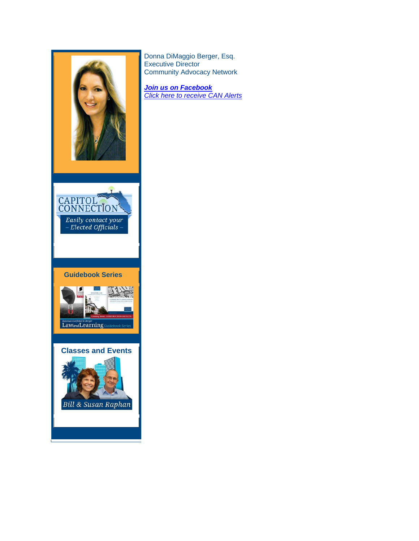

Donna DiMaggio Berger, Esq. Executive Director Community Advocacy Network

*Join us on Facebook Click here to receive CAN Alerts*